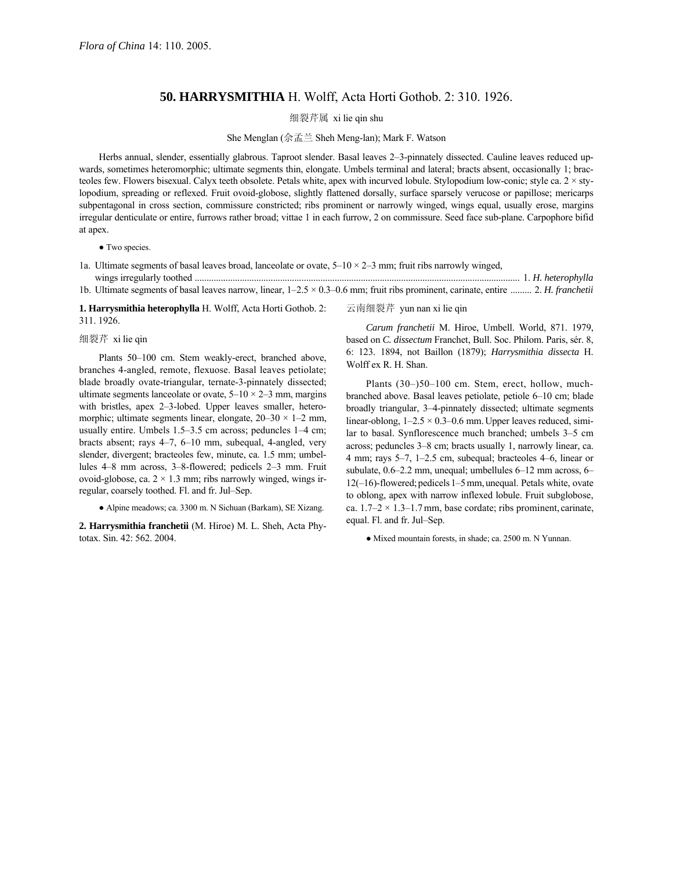## **50. HARRYSMITHIA** H. Wolff, Acta Horti Gothob. 2: 310. 1926.

细裂芹属 xi lie qin shu

She Menglan (佘孟兰 Sheh Meng-lan); Mark F. Watson

Herbs annual, slender, essentially glabrous. Taproot slender. Basal leaves 2–3-pinnately dissected. Cauline leaves reduced upwards, sometimes heteromorphic; ultimate segments thin, elongate. Umbels terminal and lateral; bracts absent, occasionally 1; bracteoles few. Flowers bisexual. Calyx teeth obsolete. Petals white, apex with incurved lobule. Stylopodium low-conic; style ca. 2 × stylopodium, spreading or reflexed. Fruit ovoid-globose, slightly flattened dorsally, surface sparsely verucose or papillose; mericarps subpentagonal in cross section, commissure constricted; ribs prominent or narrowly winged, wings equal, usually erose, margins irregular denticulate or entire, furrows rather broad; vittae 1 in each furrow, 2 on commissure. Seed face sub-plane. Carpophore bifid at apex.

## • Two species.

1a. Ultimate segments of basal leaves broad, lanceolate or ovate,  $5-10 \times 2-3$  mm; fruit ribs narrowly winged, wings irregularly toothed ......................................................................................................................................... 1. *H. heterophylla* 1b. Ultimate segments of basal leaves narrow, linear,  $1-2.5 \times 0.3-0.6$  mm; fruit ribs prominent, carinate, entire ......... 2. *H. franchetii* 

**1. Harrysmithia heterophylla** H. Wolff, Acta Horti Gothob. 2: 311. 1926.

## 细裂芹 xi lie qin

Plants 50-100 cm. Stem weakly-erect, branched above, branches 4-angled, remote, flexuose. Basal leaves petiolate; blade broadly ovate-triangular, ternate-3-pinnately dissected; ultimate segments lanceolate or ovate,  $5-10 \times 2-3$  mm, margins with bristles, apex  $2-3$ -lobed. Upper leaves smaller, heteromorphic; ultimate segments linear, elongate,  $20-30 \times 1-2$  mm, usually entire. Umbels  $1.5-3.5$  cm across; peduncles  $1-4$  cm; bracts absent; rays  $4-7$ ,  $6-10$  mm, subequal, 4-angled, very slender, divergent; bracteoles few, minute, ca. 1.5 mm; umbellules 4–8 mm across, 3–8-flowered; pedicels 2–3 mm. Fruit ovoid-globose, ca.  $2 \times 1.3$  mm; ribs narrowly winged, wings irregular, coarsely toothed. Fl. and fr. Jul–Sep.

● Alpine meadows; ca. 3300 m. N Sichuan (Barkam), SE Xizang.

**2. Harrysmithia franchetii** (M. Hiroe) M. L. Sheh, Acta Phytotax. Sin. 42: 562. 2004.

云南细裂芹 yun nan xi lie qin

*Carum franchetii* M. Hiroe, Umbell. World, 871. 1979, based on *C. dissectum* Franchet, Bull. Soc. Philom. Paris, sér. 8, 6: 123. 1894, not Baillon (1879); *Harrysmithia dissecta* H. Wolff ex R. H. Shan.

Plants  $(30-)50-100$  cm. Stem, erect, hollow, muchbranched above. Basal leaves petiolate, petiole 6-10 cm; blade broadly triangular, 3-4-pinnately dissected; ultimate segments linear-oblong,  $1-2.5 \times 0.3-0.6$  mm. Upper leaves reduced, similar to basal. Synflorescence much branched; umbels 3-5 cm across; peduncles 3-8 cm; bracts usually 1, narrowly linear, ca. 4 mm; rays  $5-7$ , 1 $-2.5$  cm, subequal; bracteoles 4 $-6$ , linear or subulate,  $0.6-2.2$  mm, unequal; umbellules  $6-12$  mm across,  $6 12(-16)$ -flowered; pedicels  $1-5$ mm, unequal. Petals white, ovate to oblong, apex with narrow inflexed lobule. Fruit subglobose, ca.  $1.7-2 \times 1.3-1.7$  mm, base cordate; ribs prominent, carinate, equal. Fl. and fr. Jul-Sep.

● Mixed mountain forests, in shade; ca. 2500 m. N Yunnan.